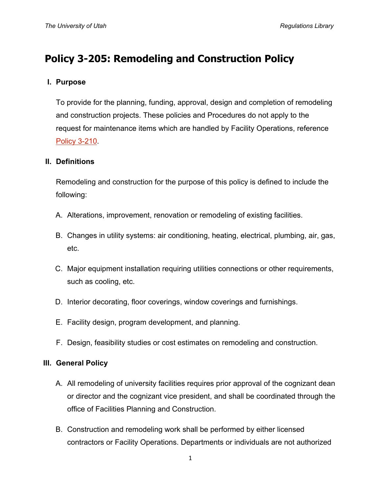# **Policy 3-205: Remodeling and Construction Policy**

# **I. Purpose**

To provide for the planning, funding, approval, design and completion of remodeling and construction projects. These policies and Procedures do not apply to the request for maintenance items which are handled by Facility Operations, reference [Policy 3-210.](http://regulations.utah.edu/administration/3-210.php)

### **II. Definitions**

Remodeling and construction for the purpose of this policy is defined to include the following:

- A. Alterations, improvement, renovation or remodeling of existing facilities.
- B. Changes in utility systems: air conditioning, heating, electrical, plumbing, air, gas, etc.
- C. Major equipment installation requiring utilities connections or other requirements, such as cooling, etc.
- D. Interior decorating, floor coverings, window coverings and furnishings.
- E. Facility design, program development, and planning.
- F. Design, feasibility studies or cost estimates on remodeling and construction.

#### **III. General Policy**

- A. All remodeling of university facilities requires prior approval of the cognizant dean or director and the cognizant vice president, and shall be coordinated through the office of Facilities Planning and Construction.
- B. Construction and remodeling work shall be performed by either licensed contractors or Facility Operations. Departments or individuals are not authorized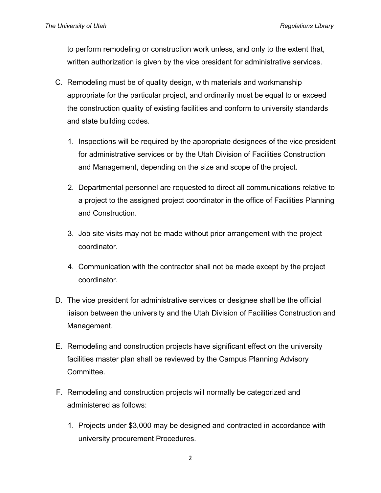to perform remodeling or construction work unless, and only to the extent that, written authorization is given by the vice president for administrative services.

- C. Remodeling must be of quality design, with materials and workmanship appropriate for the particular project, and ordinarily must be equal to or exceed the construction quality of existing facilities and conform to university standards and state building codes.
	- 1. Inspections will be required by the appropriate designees of the vice president for administrative services or by the Utah Division of Facilities Construction and Management, depending on the size and scope of the project.
	- 2. Departmental personnel are requested to direct all communications relative to a project to the assigned project coordinator in the office of Facilities Planning and Construction.
	- 3. Job site visits may not be made without prior arrangement with the project coordinator.
	- 4. Communication with the contractor shall not be made except by the project coordinator.
- D. The vice president for administrative services or designee shall be the official liaison between the university and the Utah Division of Facilities Construction and Management.
- E. Remodeling and construction projects have significant effect on the university facilities master plan shall be reviewed by the Campus Planning Advisory Committee.
- F. Remodeling and construction projects will normally be categorized and administered as follows:
	- 1. Projects under \$3,000 may be designed and contracted in accordance with university procurement Procedures.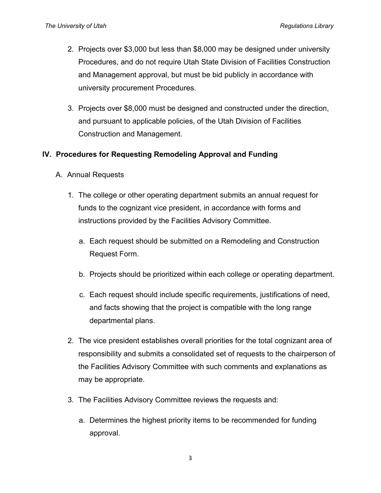- 2. Projects over \$3,000 but less than \$8,000 may be designed under university Procedures, and do not require Utah State Division of Facilities Construction and Management approval, but must be bid publicly in accordance with university procurement Procedures.
- 3. Projects over \$8,000 must be designed and constructed under the direction, and pursuant to applicable policies, of the Utah Division of Facilities Construction and Management.

# **IV. Procedures for Requesting Remodeling Approval and Funding**

- A. Annual Requests
	- 1. The college or other operating department submits an annual request for funds to the cognizant vice president, in accordance with forms and instructions provided by the Facilities Advisory Committee.
		- a. Each request should be submitted on a Remodeling and Construction Request Form.
		- b. Projects should be prioritized within each college or operating department.
		- c. Each request should include specific requirements, justifications of need, and facts showing that the project is compatible with the long range departmental plans.
	- 2. The vice president establishes overall priorities for the total cognizant area of responsibility and submits a consolidated set of requests to the chairperson of the Facilities Advisory Committee with such comments and explanations as may be appropriate.
	- 3. The Facilities Advisory Committee reviews the requests and:
		- a. Determines the highest priority items to be recommended for funding approval.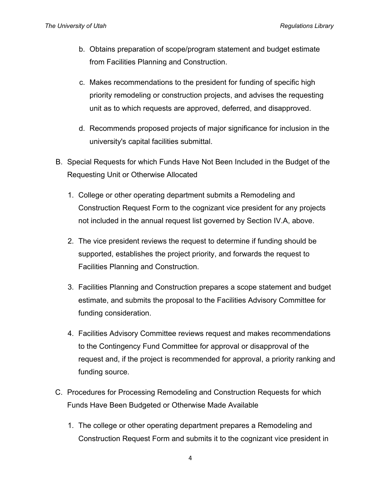- b. Obtains preparation of scope/program statement and budget estimate from Facilities Planning and Construction.
- c. Makes recommendations to the president for funding of specific high priority remodeling or construction projects, and advises the requesting unit as to which requests are approved, deferred, and disapproved.
- d. Recommends proposed projects of major significance for inclusion in the university's capital facilities submittal.
- B. Special Requests for which Funds Have Not Been Included in the Budget of the Requesting Unit or Otherwise Allocated
	- 1. College or other operating department submits a Remodeling and Construction Request Form to the cognizant vice president for any projects not included in the annual request list governed by Section IV.A, above.
	- 2. The vice president reviews the request to determine if funding should be supported, establishes the project priority, and forwards the request to Facilities Planning and Construction.
	- 3. Facilities Planning and Construction prepares a scope statement and budget estimate, and submits the proposal to the Facilities Advisory Committee for funding consideration.
	- 4. Facilities Advisory Committee reviews request and makes recommendations to the Contingency Fund Committee for approval or disapproval of the request and, if the project is recommended for approval, a priority ranking and funding source.
- C. Procedures for Processing Remodeling and Construction Requests for which Funds Have Been Budgeted or Otherwise Made Available
	- 1. The college or other operating department prepares a Remodeling and Construction Request Form and submits it to the cognizant vice president in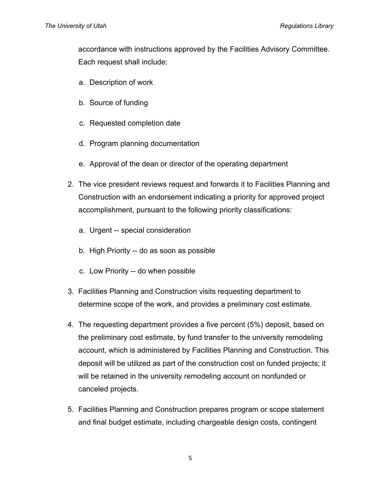accordance with instructions approved by the Facilities Advisory Committee. Each request shall include:

- a. Description of work
- b. Source of funding
- c. Requested completion date
- d. Program planning documentation
- e. Approval of the dean or director of the operating department
- 2. The vice president reviews request and forwards it to Facilities Planning and Construction with an endorsement indicating a priority for approved project accomplishment, pursuant to the following priority classifications:
	- a. Urgent -- special consideration
	- b. High Priority -- do as soon as possible
	- c. Low Priority -- do when possible
- 3. Facilities Planning and Construction visits requesting department to determine scope of the work, and provides a preliminary cost estimate.
- 4. The requesting department provides a five percent (5%) deposit, based on the preliminary cost estimate, by fund transfer to the university remodeling account, which is administered by Facilities Planning and Construction. This deposit will be utilized as part of the construction cost on funded projects; it will be retained in the university remodeling account on nonfunded or canceled projects.
- 5. Facilities Planning and Construction prepares program or scope statement and final budget estimate, including chargeable design costs, contingent